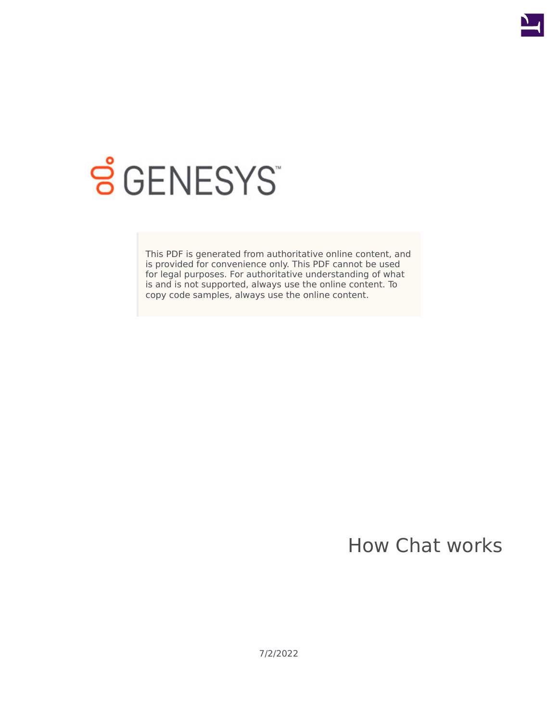

# **SGENESYS**

This PDF is generated from authoritative online content, and is provided for convenience only. This PDF cannot be used for legal purposes. For authoritative understanding of what is and is not supported, always use the online content. To copy code samples, always use the online content.

How Chat works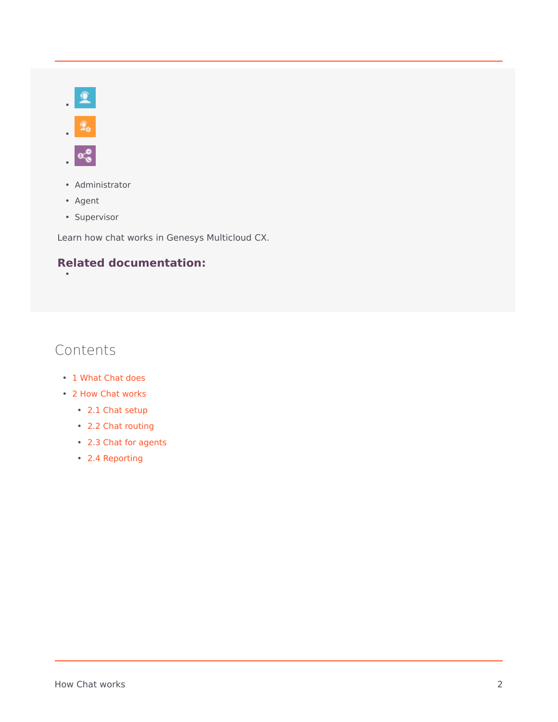



- Administrator
- Agent

•

• Supervisor

Learn how chat works in Genesys Multicloud CX.

## **Related documentation:**

# Contents

- 1 [What Chat does](#page-2-0)
- 2 [How Chat works](#page-2-1)
	- 2.1 [Chat setup](#page-2-2)
	- 2.2 [Chat routing](#page-3-0)
	- 2.3 [Chat for agents](#page-4-0)
	- 2.4 [Reporting](#page-5-0)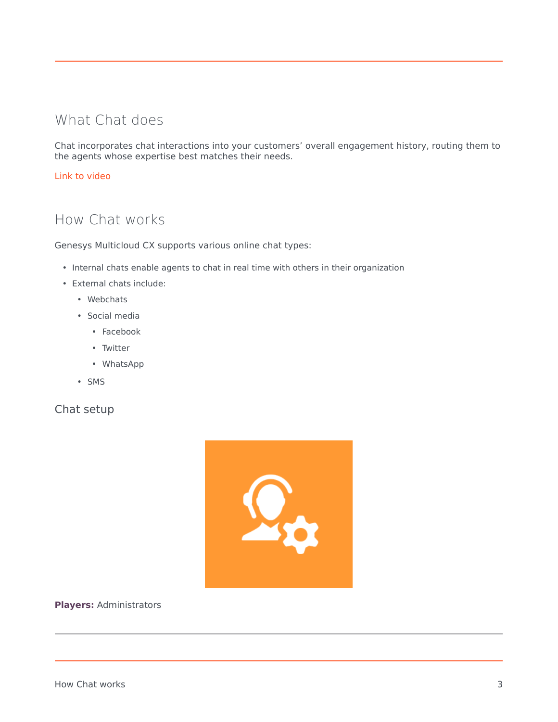# <span id="page-2-0"></span>What Chat does

Chat incorporates chat interactions into your customers' overall engagement history, routing them to the agents whose expertise best matches their needs.

#### [Link to video](https://player.vimeo.com/video/587890178?title=0&byline=0&portrait=0)

# <span id="page-2-1"></span>How Chat works

Genesys Multicloud CX supports various online chat types:

- Internal chats enable agents to chat in real time with others in their organization
- External chats include:
	- Webchats
	- Social media
		- Facebook
		- Twitter
		- WhatsApp
	- SMS

#### <span id="page-2-2"></span>Chat setup



#### **Players:** Administrators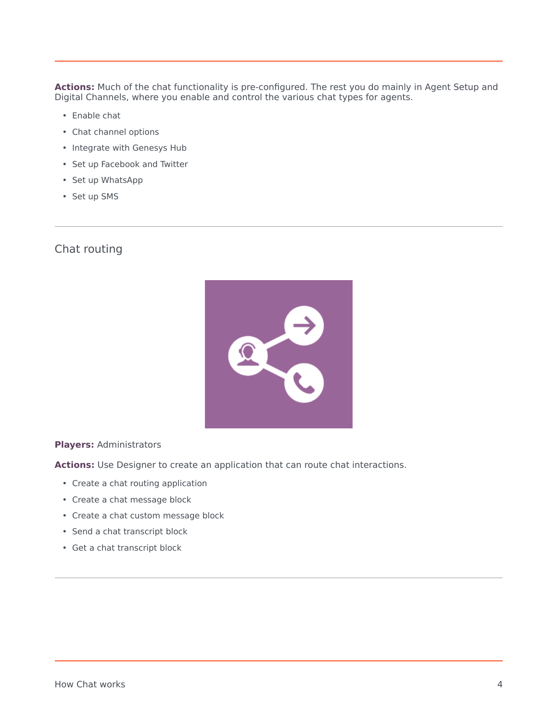**Actions:** Much of the chat functionality is pre-configured. The rest you do mainly in Agent Setup and Digital Channels, where you enable and control the various chat types for agents.

- Enable chat
- Chat channel options
- Integrate with Genesys Hub
- Set up Facebook and Twitter
- Set up WhatsApp
- Set up SMS

#### <span id="page-3-0"></span>Chat routing



#### **Players:** Administrators

**Actions:** Use Designer to create an application that can route chat interactions.

- Create a chat routing application
- Create a chat message block
- Create a chat custom message block
- Send a chat transcript block
- Get a chat transcript block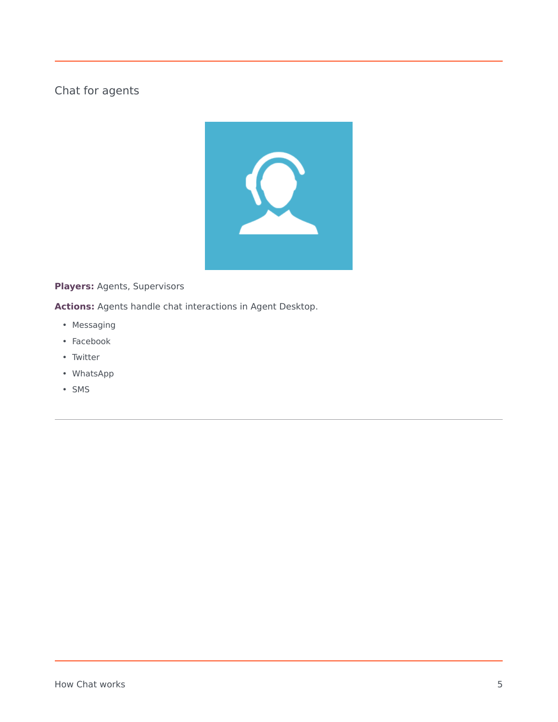## <span id="page-4-0"></span>Chat for agents



**Players:** Agents, Supervisors

**Actions:** Agents handle chat interactions in Agent Desktop.

- Messaging
- Facebook
- Twitter
- WhatsApp
- SMS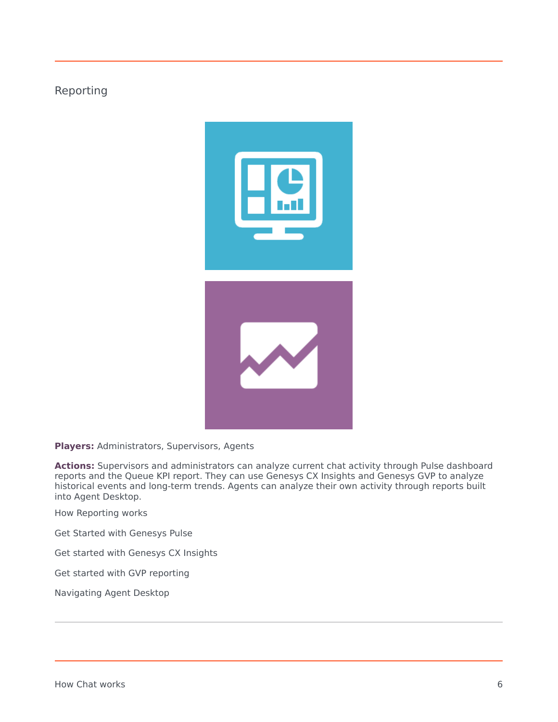### <span id="page-5-0"></span>Reporting



**Players:** Administrators, Supervisors, Agents

**Actions:** Supervisors and administrators can analyze current chat activity through Pulse dashboard reports and the Queue KPI report. They can use Genesys CX Insights and Genesys GVP to analyze historical events and long-term trends. Agents can analyze their own activity through reports built into Agent Desktop.

How Reporting works

Get Started with Genesys Pulse

Get started with Genesys CX Insights

Get started with GVP reporting

Navigating Agent Desktop